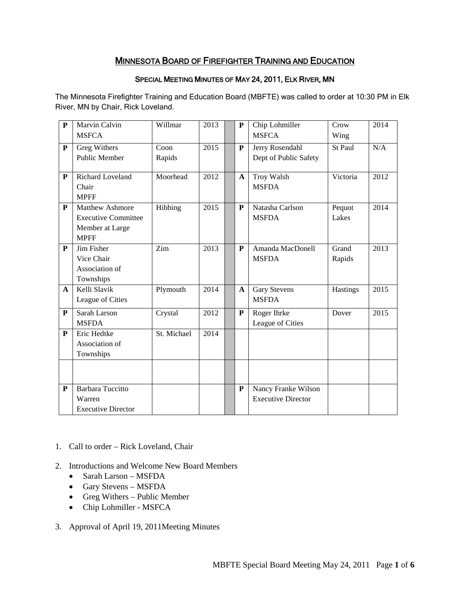# MINNESOTA BOARD OF FIREFIGHTER TRAINING AND EDUCATION

### SPECIAL MEETING MINUTES OF MAY 24, 2011, ELK RIVER, MN

The Minnesota Firefighter Training and Education Board (MBFTE) was called to order at 10:30 PM in Elk River, MN by Chair, Rick Loveland.

| ${\bf P}$    | Marvin Calvin              | Willmar     | 2013 | P            | Chip Lohmiller<br><b>MSFCA</b> | Crow     | 2014 |
|--------------|----------------------------|-------------|------|--------------|--------------------------------|----------|------|
|              | <b>MSFCA</b>               |             |      |              |                                | Wing     |      |
| ${\bf P}$    | Greg Withers               | Coon        | 2015 | ${\bf P}$    | Jerry Rosendahl                | St Paul  | N/A  |
|              | Public Member              | Rapids      |      |              | Dept of Public Safety          |          |      |
| P            | <b>Richard Loveland</b>    | Moorhead    | 2012 | $\mathbf{A}$ | Troy Walsh                     | Victoria | 2012 |
|              | Chair                      |             |      |              | <b>MSFDA</b>                   |          |      |
|              | <b>MPFF</b>                |             |      |              |                                |          |      |
| P            | Matthew Ashmore            | Hibbing     | 2015 | P            | Natasha Carlson                | Pequot   | 2014 |
|              | <b>Executive Committee</b> |             |      |              | <b>MSFDA</b>                   | Lakes    |      |
|              | Member at Large            |             |      |              |                                |          |      |
|              | <b>MPFF</b>                |             |      |              |                                |          |      |
| P            | Jim Fisher                 | Zim         | 2013 | P            | Amanda MacDonell               | Grand    | 2013 |
|              | Vice Chair                 |             |      |              | <b>MSFDA</b>                   | Rapids   |      |
|              | Association of             |             |      |              |                                |          |      |
|              | Townships                  |             |      |              |                                |          |      |
| $\mathbf{A}$ | Kelli Slavik               | Plymouth    | 2014 | $\mathbf{A}$ | <b>Gary Stevens</b>            | Hastings | 2015 |
|              | League of Cities           |             |      |              | <b>MSFDA</b>                   |          |      |
| P            | Sarah Larson               | Crystal     | 2012 | P            | Roger Ihrke                    | Dover    | 2015 |
|              | <b>MSFDA</b>               |             |      |              | League of Cities               |          |      |
| ${\bf P}$    | Eric Hedtke                | St. Michael | 2014 |              |                                |          |      |
|              | Association of             |             |      |              |                                |          |      |
|              | Townships                  |             |      |              |                                |          |      |
|              |                            |             |      |              |                                |          |      |
|              |                            |             |      |              |                                |          |      |
| P            | Barbara Tuccitto           |             |      | P            | Nancy Franke Wilson            |          |      |
|              | Warren                     |             |      |              | <b>Executive Director</b>      |          |      |
|              | <b>Executive Director</b>  |             |      |              |                                |          |      |

- 1. Call to order Rick Loveland, Chair
- 2. Introductions and Welcome New Board Members
	- Sarah Larson MSFDA
	- Gary Stevens MSFDA
	- Greg Withers Public Member
	- Chip Lohmiller MSFCA
- 3. Approval of April 19, 2011Meeting Minutes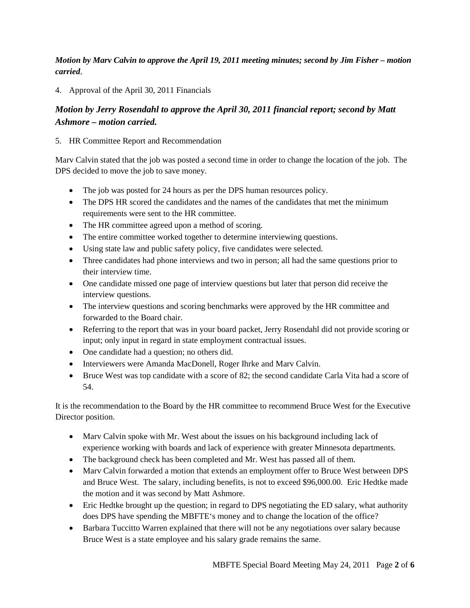*Motion by Marv Calvin to approve the April 19, 2011 meeting minutes; second by Jim Fisher – motion carried*.

4. Approval of the April 30, 2011 Financials

# *Motion by Jerry Rosendahl to approve the April 30, 2011 financial report; second by Matt Ashmore – motion carried.*

## 5. HR Committee Report and Recommendation

Marv Calvin stated that the job was posted a second time in order to change the location of the job. The DPS decided to move the job to save money.

- The job was posted for 24 hours as per the DPS human resources policy.
- The DPS HR scored the candidates and the names of the candidates that met the minimum requirements were sent to the HR committee.
- The HR committee agreed upon a method of scoring.
- The entire committee worked together to determine interviewing questions.
- Using state law and public safety policy, five candidates were selected.
- Three candidates had phone interviews and two in person; all had the same questions prior to their interview time.
- One candidate missed one page of interview questions but later that person did receive the interview questions.
- The interview questions and scoring benchmarks were approved by the HR committee and forwarded to the Board chair.
- Referring to the report that was in your board packet, Jerry Rosendahl did not provide scoring or input; only input in regard in state employment contractual issues.
- One candidate had a question; no others did.
- Interviewers were Amanda MacDonell, Roger Ihrke and Marv Calvin.
- Bruce West was top candidate with a score of 82; the second candidate Carla Vita had a score of 54.

It is the recommendation to the Board by the HR committee to recommend Bruce West for the Executive Director position.

- Mary Calvin spoke with Mr. West about the issues on his background including lack of experience working with boards and lack of experience with greater Minnesota departments.
- The background check has been completed and Mr. West has passed all of them.
- Mary Calvin forwarded a motion that extends an employment offer to Bruce West between DPS and Bruce West. The salary, including benefits, is not to exceed \$96,000.00. Eric Hedtke made the motion and it was second by Matt Ashmore.
- Eric Hedtke brought up the question; in regard to DPS negotiating the ED salary, what authority does DPS have spending the MBFTE's money and to change the location of the office?
- Barbara Tuccitto Warren explained that there will not be any negotiations over salary because Bruce West is a state employee and his salary grade remains the same.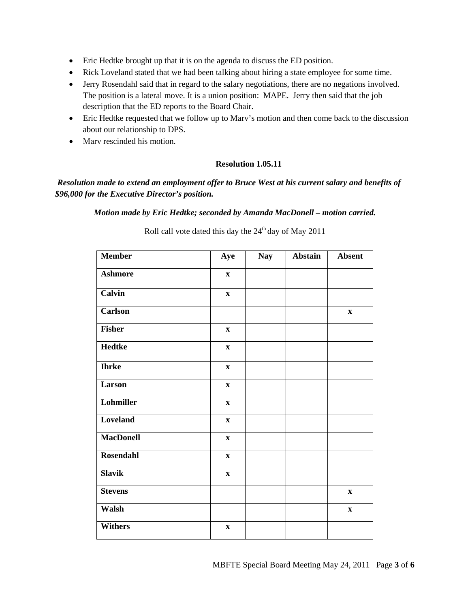- Eric Hedtke brought up that it is on the agenda to discuss the ED position.
- Rick Loveland stated that we had been talking about hiring a state employee for some time.
- Jerry Rosendahl said that in regard to the salary negotiations, there are no negations involved. The position is a lateral move. It is a union position: MAPE. Jerry then said that the job description that the ED reports to the Board Chair.
- Eric Hedtke requested that we follow up to Marv's motion and then come back to the discussion about our relationship to DPS.
- Mary rescinded his motion.

### **Resolution 1.05.11**

## *Resolution made to extend an employment offer to Bruce West at his current salary and benefits of \$96,000 for the Executive Director's position.*

*Motion made by Eric Hedtke; seconded by Amanda MacDonell – motion carried.*

| <b>Member</b>    | Aye          | <b>Nay</b> | Abstain | <b>Absent</b> |
|------------------|--------------|------------|---------|---------------|
| <b>Ashmore</b>   | $\mathbf X$  |            |         |               |
| Calvin           | $\mathbf X$  |            |         |               |
| <b>Carlson</b>   |              |            |         | $\mathbf X$   |
| <b>Fisher</b>    | $\mathbf X$  |            |         |               |
| <b>Hedtke</b>    | $\mathbf X$  |            |         |               |
| <b>Ihrke</b>     | $\mathbf X$  |            |         |               |
| Larson           | $\mathbf{x}$ |            |         |               |
| Lohmiller        | $\mathbf X$  |            |         |               |
| Loveland         | $\mathbf X$  |            |         |               |
| <b>MacDonell</b> | $\mathbf X$  |            |         |               |
| <b>Rosendahl</b> | $\mathbf X$  |            |         |               |
| <b>Slavik</b>    | $\mathbf{X}$ |            |         |               |
| <b>Stevens</b>   |              |            |         | $\mathbf{X}$  |
| Walsh            |              |            |         | $\mathbf X$   |
| <b>Withers</b>   | $\mathbf X$  |            |         |               |

Roll call vote dated this day the 24<sup>th</sup> day of May 2011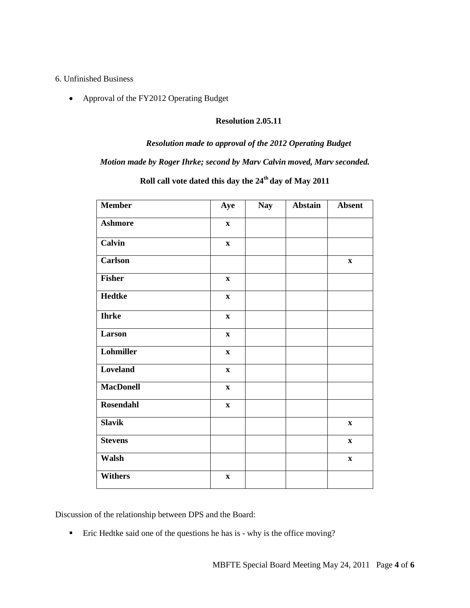#### 6. Unfinished Business

• Approval of the FY2012 Operating Budget

### **Resolution 2.05.11**

#### *Resolution made to approval of the 2012 Operating Budget*

## *Motion made by Roger Ihrke; second by Marv Calvin moved, Marv seconded.*

| <b>Member</b>    | Aye          | <b>Nay</b> | Abstain | <b>Absent</b> |
|------------------|--------------|------------|---------|---------------|
| <b>Ashmore</b>   | $\mathbf{X}$ |            |         |               |
| Calvin           | $\mathbf{X}$ |            |         |               |
| <b>Carlson</b>   |              |            |         | $\mathbf X$   |
| <b>Fisher</b>    | $\mathbf x$  |            |         |               |
| <b>Hedtke</b>    | $\mathbf X$  |            |         |               |
| <b>Ihrke</b>     | $\mathbf X$  |            |         |               |
| Larson           | $\mathbf X$  |            |         |               |
| Lohmiller        | $\mathbf X$  |            |         |               |
| Loveland         | $\mathbf X$  |            |         |               |
| <b>MacDonell</b> | $\mathbf{X}$ |            |         |               |
| <b>Rosendahl</b> | $\mathbf{X}$ |            |         |               |
| <b>Slavik</b>    |              |            |         | $\mathbf X$   |
| <b>Stevens</b>   |              |            |         | $\mathbf X$   |
| Walsh            |              |            |         | $\mathbf X$   |
| <b>Withers</b>   | $\mathbf X$  |            |         |               |

# Roll call vote dated this day the  $24<sup>th</sup>$  day of May 2011

Discussion of the relationship between DPS and the Board:

■ Eric Hedtke said one of the questions he has is - why is the office moving?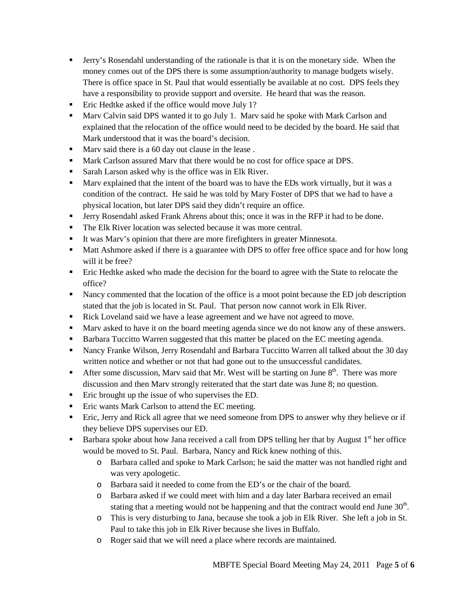- Jerry's Rosendahl understanding of the rationale is that it is on the monetary side. When the money comes out of the DPS there is some assumption/authority to manage budgets wisely. There is office space in St. Paul that would essentially be available at no cost. DPS feels they have a responsibility to provide support and oversite. He heard that was the reason.
- **Example 1** Eric Hedtke asked if the office would move July 1?
- **Marv Calvin said DPS wanted it to go July 1. Marv said he spoke with Mark Carlson and** explained that the relocation of the office would need to be decided by the board. He said that Mark understood that it was the board's decision.
- Mary said there is a 60 day out clause in the lease.
- Mark Carlson assured Marv that there would be no cost for office space at DPS.
- **Sarah Larson asked why is the office was in Elk River.**
- Marv explained that the intent of the board was to have the EDs work virtually, but it was a condition of the contract. He said he was told by Mary Foster of DPS that we had to have a physical location, but later DPS said they didn't require an office.
- Jerry Rosendahl asked Frank Ahrens about this; once it was in the RFP it had to be done.
- The Elk River location was selected because it was more central.
- It was Marv's opinion that there are more firefighters in greater Minnesota.
- Matt Ashmore asked if there is a guarantee with DPS to offer free office space and for how long will it be free?
- **Eric Hedtke asked who made the decision for the board to agree with the State to relocate the** office?
- Nancy commented that the location of the office is a moot point because the ED job description stated that the job is located in St. Paul. That person now cannot work in Elk River.
- Rick Loveland said we have a lease agreement and we have not agreed to move.
- Marv asked to have it on the board meeting agenda since we do not know any of these answers.
- **Barbara Tuccitto Warren suggested that this matter be placed on the EC meeting agenda.**
- Nancy Franke Wilson, Jerry Rosendahl and Barbara Tuccitto Warren all talked about the 30 day written notice and whether or not that had gone out to the unsuccessful candidates.
- After some discussion, Marv said that Mr. West will be starting on June  $8<sup>th</sup>$ . There was more discussion and then Marv strongly reiterated that the start date was June 8; no question.
- **Example 1** Eric brought up the issue of who supervises the ED.
- **Example 1** Eric wants Mark Carlson to attend the EC meeting.
- Eric, Jerry and Rick all agree that we need someone from DPS to answer why they believe or if they believe DPS supervises our ED.
- **Barbara spoke about how Jana received a call from DPS telling her that by August**  $1<sup>st</sup>$  **her office** would be moved to St. Paul. Barbara, Nancy and Rick knew nothing of this.
	- o Barbara called and spoke to Mark Carlson; he said the matter was not handled right and was very apologetic.
	- o Barbara said it needed to come from the ED's or the chair of the board.
	- o Barbara asked if we could meet with him and a day later Barbara received an email stating that a meeting would not be happening and that the contract would end June  $30<sup>th</sup>$ .
	- o This is very disturbing to Jana, because she took a job in Elk River. She left a job in St. Paul to take this job in Elk River because she lives in Buffalo.
	- o Roger said that we will need a place where records are maintained.